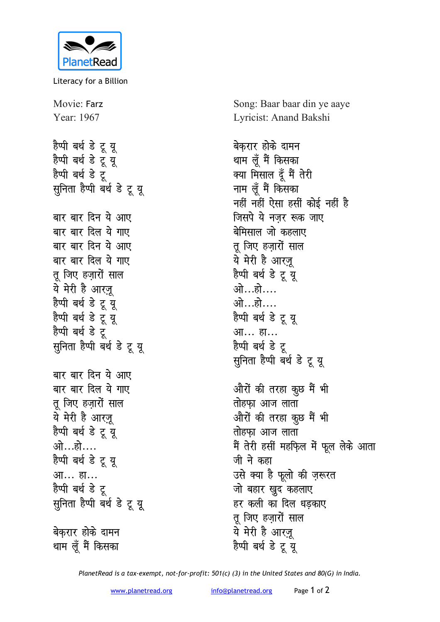

Literacy for a Billion

Movie: Farz Year: 1967 हैप्पी बर्थ **डे** टू यू हैप्पी बर्थ डे टू यू हैप्पी बर्थ डे ट<del>ू</del> **सूनिता हैप्पी बर्थ डे टू यू** बार बार दिन ये आए बार बार दिल ये गाए बार बार दिन ये आए बार बार दिल ये गाए तू जिए हज़ारों साल ये मेरी है आरज़ू हैप्पी बर्थ **डे** टू यू हैप्पी बर्थ डे टू यू हैप्पी बर्थ डे टू सूनिता हैप्पी बर्थ डे टू यू बार बार दिन ये आए बार बार दिल ये गाए तू जिए हज़ारों साल ये मेरी है आर<u>ज</u>़ू हैप्पी बर्थ डे टू यू <u>ओ…हो….</u> हैप्पी बर्थ **डे** टू यू आ... हा... हैप्पी बर्थ डे टू सुनिता हैप्पी बर्थ डे टू यू **बेकरार होके दामन** थाम लूँ मैं किसका

Song: Baar baar din ye aaye Lyricist: Anand Bakshi

बेकरार **होके** दामन थाम लूँ मैं किसका क्या मिसाल दूँ मैं तेरी नाम लूँ मैं किसका <u>नहीं नहीं ऐसा हसीं कोई नहीं है</u> **जिसपे ये नजर रूक जाए** बेमिसाल जो कहलाए <u>तु</u> जिए हजारों साल ये मेरी है आरज़ू हैप्पी बर्थ **डे** टू यू ओ…हो…. <u>ओ…हो….</u> हैप्पी बर्थ डे टू यू आ... हा... हैप्पी बर्थ **डे** ट <u>सू</u>निता हैप्पी बर्थ डे टू यू औरों की तरहा कुछ मैं भी **तोहफा आज लाता** औरों की तरहा कुछ मैं भी <u>तो</u>हफा आज लाता मैं तेरी हर्सी महफि़ल में फूल लेके आता जी ने कहा उसे क्या है फूलो की ज़रूरत जो बहार खुद कहलाए हर कली का दिल धडकाए **तू** जिए हज़ारों साल ये मेरी है आर<u>ज</u>़ हैप्पी बर्थ **डे** टू यू

*PlanetRead is a tax-exempt, not-for-profit: 501(c) (3) in the United States and 80(G) in India.*